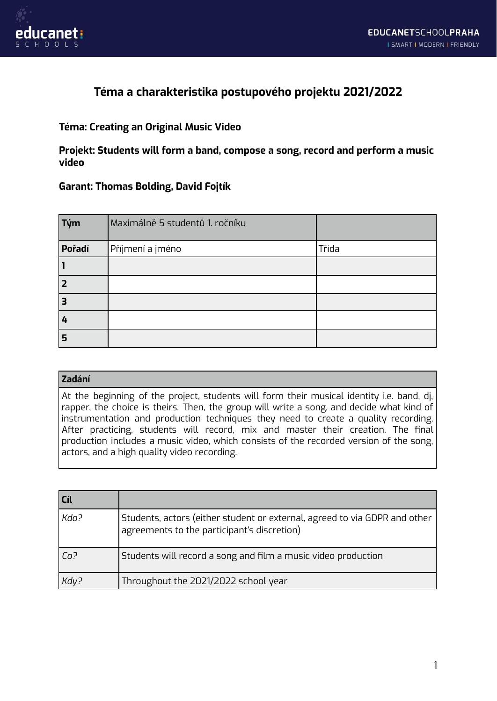



## **Téma a charakteristika postupového projektu 2021/2022**

## **Téma: Creating an Original Music Video**

**Projekt: Students will form a band, compose a song, record and perform a music video**

## **Garant: Thomas Bolding, David Fojtík**

| Tým    | Maximálně 5 studentů 1. ročníku |       |
|--------|---------------------------------|-------|
| Pořadí | Příjmení a jméno                | Třída |
|        |                                 |       |
| 2      |                                 |       |
| 3      |                                 |       |
| 4      |                                 |       |
| 5      |                                 |       |

| Zadání                                                                                                                                                                                                                                                                                                                                                                                                                                                                                                          |
|-----------------------------------------------------------------------------------------------------------------------------------------------------------------------------------------------------------------------------------------------------------------------------------------------------------------------------------------------------------------------------------------------------------------------------------------------------------------------------------------------------------------|
| At the beginning of the project, students will form their musical identity i.e. band, dj,<br>rapper, the choice is theirs. Then, the group will write a song, and decide what kind of<br>Instrumentation and production techniques they need to create a quality recording.<br>After practicing, students will record, mix and master their creation. The final<br>$\mid$ production includes a music video, which consists of the recorded version of the song,<br>actors, and a high quality video recording. |

| Cíl  |                                                                                                                           |
|------|---------------------------------------------------------------------------------------------------------------------------|
| Kdo? | Students, actors (either student or external, agreed to via GDPR and other<br>agreements to the participant's discretion) |
| Co?  | Students will record a song and film a music video production                                                             |
| Kdy? | Throughout the 2021/2022 school year                                                                                      |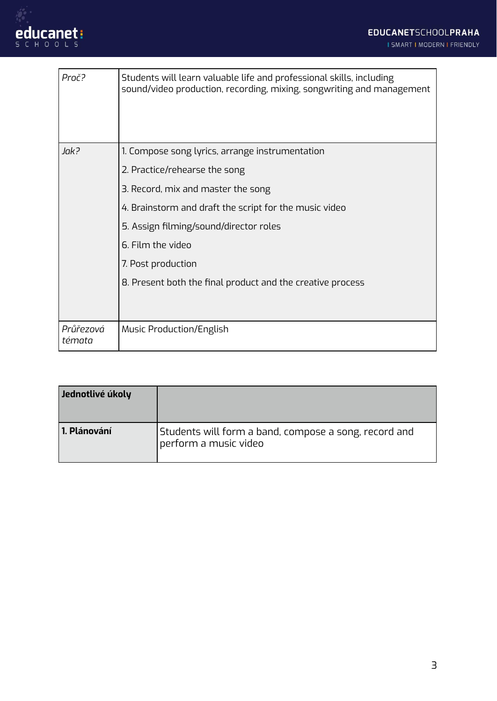

| Proč?               | Students will learn valuable life and professional skills, including<br>sound/video production, recording, mixing, songwriting and management |
|---------------------|-----------------------------------------------------------------------------------------------------------------------------------------------|
| Jak?                | 1. Compose song lyrics, arrange instrumentation                                                                                               |
|                     | 2. Practice/rehearse the song                                                                                                                 |
|                     | 3. Record, mix and master the song                                                                                                            |
|                     | 4. Brainstorm and draft the script for the music video                                                                                        |
|                     | 5. Assign filming/sound/director roles                                                                                                        |
|                     | 6. Film the video                                                                                                                             |
|                     | 7. Post production                                                                                                                            |
|                     | 8. Present both the final product and the creative process                                                                                    |
| Průřezová<br>témata | Music Production/English                                                                                                                      |

| Jednotlivé úkoly |                                                                                |
|------------------|--------------------------------------------------------------------------------|
| l 1. Plánování   | Students will form a band, compose a song, record and<br>perform a music video |